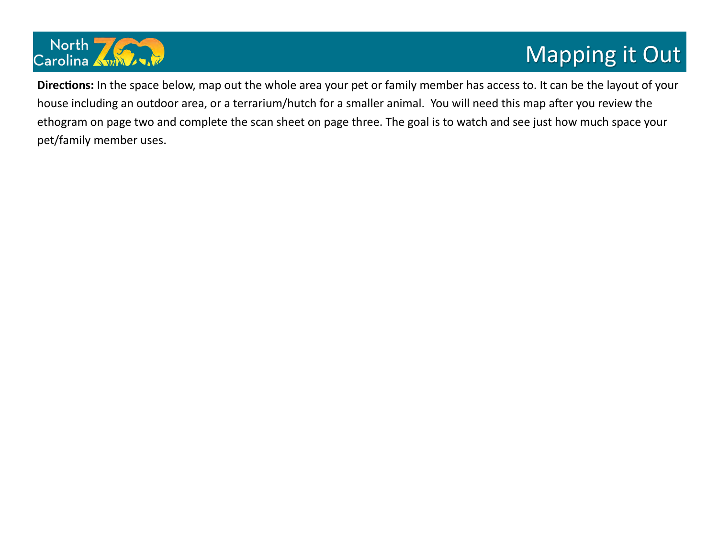

## Mapping it Out

**Directions:** In the space below, map out the whole area your pet or family member has access to. It can be the layout of your house including an outdoor area, or a terrarium/hutch for a smaller animal. You will need this map after you review the ethogram on page two and complete the scan sheet on page three. The goal is to watch and see just how much space your pet/family member uses.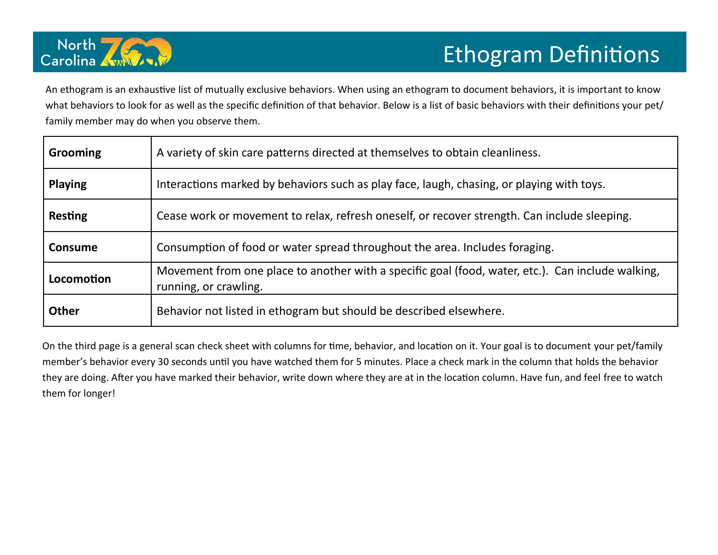

## Ethogram Definitions

An ethogram is an exhaustive list of mutually exclusive behaviors. When using an ethogram to document behaviors, it is important to know what behaviors to look for as well as the specific definition of that behavior. Below is a list of basic behaviors with their definitions your pet/ family member may do when you observe them.

| <b>Grooming</b> | A variety of skin care patterns directed at themselves to obtain cleanliness.                                              |  |  |  |  |  |
|-----------------|----------------------------------------------------------------------------------------------------------------------------|--|--|--|--|--|
| <b>Playing</b>  | Interactions marked by behaviors such as play face, laugh, chasing, or playing with toys.                                  |  |  |  |  |  |
| <b>Resting</b>  | Cease work or movement to relax, refresh oneself, or recover strength. Can include sleeping.                               |  |  |  |  |  |
| Consume         | Consumption of food or water spread throughout the area. Includes foraging.                                                |  |  |  |  |  |
| Locomotion      | Movement from one place to another with a specific goal (food, water, etc.). Can include walking,<br>running, or crawling. |  |  |  |  |  |
| <b>Other</b>    | Behavior not listed in ethogram but should be described elsewhere.                                                         |  |  |  |  |  |

On the third page is a general scan check sheet with columns for time, behavior, and location on it. Your goal is to document your pet/family member's behavior every 30 seconds until you have watched them for 5 minutes. Place a check mark in the column that holds the behavior they are doing. After you have marked their behavior, write down where they are at in the location column. Have fun, and feel free to watch them for longer!